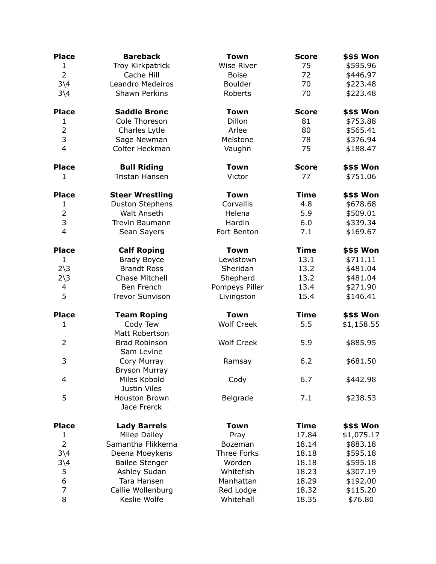| <b>Place</b>           | <b>Bareback</b>                     | <b>Town</b>       | <b>Score</b> | <b>\$\$\$ Won</b> |
|------------------------|-------------------------------------|-------------------|--------------|-------------------|
| $\mathbf{1}$           | Troy Kirkpatrick                    | <b>Wise River</b> | 75           | \$595.96          |
| $\overline{2}$         | Cache Hill                          | <b>Boise</b>      | 72           | \$446.97          |
| $3\sqrt{4}$            | Leandro Medeiros                    | <b>Boulder</b>    | 70           | \$223.48          |
| $3\sqrt{4}$            | Shawn Perkins                       | Roberts           | 70           | \$223.48          |
| <b>Place</b>           | <b>Saddle Bronc</b>                 | <b>Town</b>       | <b>Score</b> | <b>\$\$\$ Won</b> |
| 1                      | Cole Thoreson                       | Dillon            | 81           | \$753.88          |
| $\overline{2}$         | Charles Lytle                       | Arlee             | 80           | \$565.41          |
| 3                      | Sage Newman                         | Melstone          | 78           | \$376.94          |
| 4                      | Colter Heckman                      | Vaughn            | 75           | \$188.47          |
| <b>Place</b>           | <b>Bull Riding</b>                  | <b>Town</b>       | <b>Score</b> | \$\$\$ Won        |
| $\mathbf{1}$           | Tristan Hansen                      | Victor            | 77           | \$751.06          |
| <b>Place</b>           | <b>Steer Wrestling</b>              | <b>Town</b>       | <b>Time</b>  | \$\$\$ Won        |
| $\mathbf{1}$           | <b>Duston Stephens</b>              | Corvallis         | 4.8          | \$678.68          |
| $\overline{2}$         | <b>Walt Anseth</b>                  | Helena            | 5.9          | \$509.01          |
| 3                      | Trevin Baumann                      | Hardin            | 6.0          | \$339.34          |
| $\overline{4}$         | Sean Sayers                         | Fort Benton       | 7.1          | \$169.67          |
| <b>Place</b>           | <b>Calf Roping</b>                  | <b>Town</b>       | <b>Time</b>  | <b>\$\$\$ Won</b> |
| $\mathbf{1}$           | <b>Brady Boyce</b>                  | Lewistown         | 13.1         | \$711.11          |
| $2\overline{\smash)3}$ | <b>Brandt Ross</b>                  | Sheridan          | 13.2         | \$481.04          |
| $2\overline{\smash)3}$ | Chase Mitchell                      | Shepherd          | 13.2         | \$481.04          |
| 4                      | Ben French                          | Pompeys Piller    | 13.4         | \$271.90          |
| 5                      | <b>Trevor Sunvison</b>              | Livingston        | 15.4         | \$146.41          |
| <b>Place</b>           | <b>Team Roping</b>                  | <b>Town</b>       | <b>Time</b>  | <b>\$\$\$ Won</b> |
| 1                      | Cody Tew<br>Matt Robertson          | <b>Wolf Creek</b> | 5.5          | \$1,158.55        |
| $\overline{2}$         | Brad Robinson<br>Sam Levine         | <b>Wolf Creek</b> | 5.9          | \$885.95          |
| 3                      | Cory Murray<br><b>Bryson Murray</b> | Ramsay            | 6.2          | \$681.50          |
| 4                      | Miles Kobold<br>Justin Viles        | Cody              | 6.7          | \$442.98          |
| 5                      | Houston Brown<br>Jace Frerck        | Belgrade          | 7.1          | \$238.53          |
| <b>Place</b>           | <b>Lady Barrels</b>                 | <b>Town</b>       | <b>Time</b>  | \$\$\$ Won        |
| $\mathbf{1}$           | Milee Dailey                        | Pray              | 17.84        | \$1,075.17        |
| $\overline{2}$         | Samantha Flikkema                   | Bozeman           | 18.14        | \$883.18          |
| $3\backslash4$         | Deena Moeykens                      | Three Forks       | 18.18        | \$595.18          |
| $3\backslash4$         | <b>Bailee Stenger</b>               | Worden            | 18.18        | \$595.18          |
| 5                      | Ashley Sudan                        | Whitefish         | 18.23        | \$307.19          |
| 6                      | Tara Hansen                         | Manhattan         | 18.29        | \$192.00          |
| 7                      | Callie Wollenburg                   | Red Lodge         | 18.32        | \$115.20          |
| 8                      | Keslie Wolfe                        | Whitehall         | 18.35        | \$76.80           |